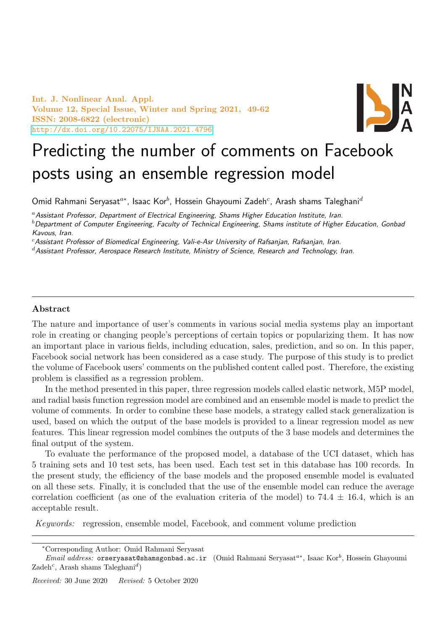Int. J. Nonlinear Anal. Appl. Volume 12, Special Issue, Winter and Spring 2021, 49-62 ISSN: 2008-6822 (electronic) <http://dx.doi.org/10.22075/IJNAA.2021.4796>



# Predicting the number of comments on Facebook posts using an ensemble regression model

Omid Rahmani Seryasat $^{a*}$ , Isaac Kor $^b$ , Hossein Ghayoumi Zadeh $^c$ , Arash shams Taleghani $^d$ 

<sup>a</sup> Assistant Professor, Department of Electrical Engineering, Shams Higher Education Institute, Iran.

 $<sup>b</sup>$  Department of Computer Engineering, Faculty of Technical Engineering, Shams institute of Higher Education, Gonbad</sup> Kavous, Iran.

<sup>c</sup>Assistant Professor of Biomedical Engineering, Vali-e-Asr University of Rafsanjan, Rafsanjan, Iran.

d Assistant Professor, Aerospace Research Institute, Ministry of Science, Research and Technology, Iran.

### Abstract

The nature and importance of user's comments in various social media systems play an important role in creating or changing people's perceptions of certain topics or popularizing them. It has now an important place in various fields, including education, sales, prediction, and so on. In this paper, Facebook social network has been considered as a case study. The purpose of this study is to predict the volume of Facebook users' comments on the published content called post. Therefore, the existing problem is classified as a regression problem.

In the method presented in this paper, three regression models called elastic network, M5P model, and radial basis function regression model are combined and an ensemble model is made to predict the volume of comments. In order to combine these base models, a strategy called stack generalization is used, based on which the output of the base models is provided to a linear regression model as new features. This linear regression model combines the outputs of the 3 base models and determines the final output of the system.

To evaluate the performance of the proposed model, a database of the UCI dataset, which has 5 training sets and 10 test sets, has been used. Each test set in this database has 100 records. In the present study, the efficiency of the base models and the proposed ensemble model is evaluated on all these sets. Finally, it is concluded that the use of the ensemble model can reduce the average correlation coefficient (as one of the evaluation criteria of the model) to 74.4  $\pm$  16.4, which is an acceptable result.

Keywords: regression, ensemble model, Facebook, and comment volume prediction

<sup>∗</sup>Corresponding Author: Omid Rahmani Seryasat

Email address: orseryasat@shamsgonbad.ac.ir (Omid Rahmani Seryasat<sup>a\*</sup>, Isaac Kor<sup>b</sup>, Hossein Ghayoumi  $Zadeh^c$ , Arash shams Taleghani<sup>d</sup>)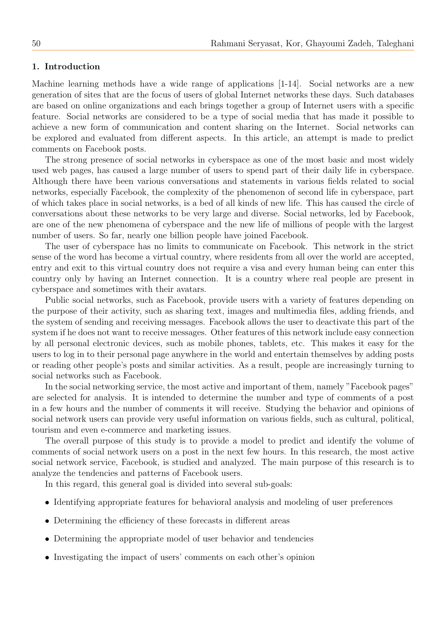## 1. Introduction

Machine learning methods have a wide range of applications [1-14]. Social networks are a new generation of sites that are the focus of users of global Internet networks these days. Such databases are based on online organizations and each brings together a group of Internet users with a specific feature. Social networks are considered to be a type of social media that has made it possible to achieve a new form of communication and content sharing on the Internet. Social networks can be explored and evaluated from different aspects. In this article, an attempt is made to predict comments on Facebook posts.

The strong presence of social networks in cyberspace as one of the most basic and most widely used web pages, has caused a large number of users to spend part of their daily life in cyberspace. Although there have been various conversations and statements in various fields related to social networks, especially Facebook, the complexity of the phenomenon of second life in cyberspace, part of which takes place in social networks, is a bed of all kinds of new life. This has caused the circle of conversations about these networks to be very large and diverse. Social networks, led by Facebook, are one of the new phenomena of cyberspace and the new life of millions of people with the largest number of users. So far, nearly one billion people have joined Facebook.

The user of cyberspace has no limits to communicate on Facebook. This network in the strict sense of the word has become a virtual country, where residents from all over the world are accepted, entry and exit to this virtual country does not require a visa and every human being can enter this country only by having an Internet connection. It is a country where real people are present in cyberspace and sometimes with their avatars.

Public social networks, such as Facebook, provide users with a variety of features depending on the purpose of their activity, such as sharing text, images and multimedia files, adding friends, and the system of sending and receiving messages. Facebook allows the user to deactivate this part of the system if he does not want to receive messages. Other features of this network include easy connection by all personal electronic devices, such as mobile phones, tablets, etc. This makes it easy for the users to log in to their personal page anywhere in the world and entertain themselves by adding posts or reading other people's posts and similar activities. As a result, people are increasingly turning to social networks such as Facebook.

In the social networking service, the most active and important of them, namely "Facebook pages" are selected for analysis. It is intended to determine the number and type of comments of a post in a few hours and the number of comments it will receive. Studying the behavior and opinions of social network users can provide very useful information on various fields, such as cultural, political, tourism and even e-commerce and marketing issues.

The overall purpose of this study is to provide a model to predict and identify the volume of comments of social network users on a post in the next few hours. In this research, the most active social network service, Facebook, is studied and analyzed. The main purpose of this research is to analyze the tendencies and patterns of Facebook users.

In this regard, this general goal is divided into several sub-goals:

- Identifying appropriate features for behavioral analysis and modeling of user preferences
- Determining the efficiency of these forecasts in different areas
- Determining the appropriate model of user behavior and tendencies
- Investigating the impact of users' comments on each other's opinion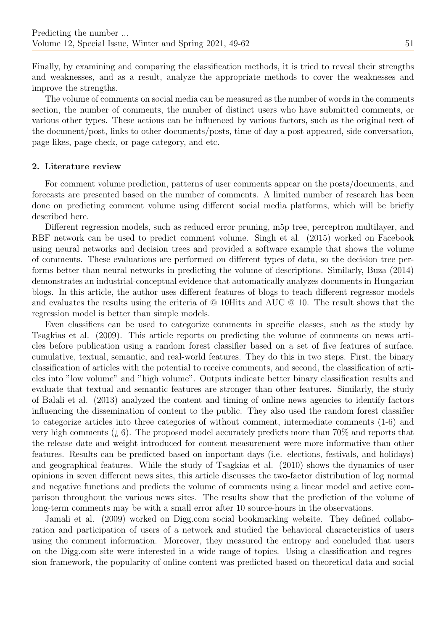Finally, by examining and comparing the classification methods, it is tried to reveal their strengths and weaknesses, and as a result, analyze the appropriate methods to cover the weaknesses and improve the strengths.

The volume of comments on social media can be measured as the number of words in the comments section, the number of comments, the number of distinct users who have submitted comments, or various other types. These actions can be influenced by various factors, such as the original text of the document/post, links to other documents/posts, time of day a post appeared, side conversation, page likes, page check, or page category, and etc.

## 2. Literature review

For comment volume prediction, patterns of user comments appear on the posts/documents, and forecasts are presented based on the number of comments. A limited number of research has been done on predicting comment volume using different social media platforms, which will be briefly described here.

Different regression models, such as reduced error pruning, m5p tree, perceptron multilayer, and RBF network can be used to predict comment volume. Singh et al. (2015) worked on Facebook using neural networks and decision trees and provided a software example that shows the volume of comments. These evaluations are performed on different types of data, so the decision tree performs better than neural networks in predicting the volume of descriptions. Similarly, Buza (2014) demonstrates an industrial-conceptual evidence that automatically analyzes documents in Hungarian blogs. In this article, the author uses different features of blogs to teach different regressor models and evaluates the results using the criteria of @ 10Hits and AUC @ 10. The result shows that the regression model is better than simple models.

Even classifiers can be used to categorize comments in specific classes, such as the study by Tsagkias et al. (2009). This article reports on predicting the volume of comments on news articles before publication using a random forest classifier based on a set of five features of surface, cumulative, textual, semantic, and real-world features. They do this in two steps. First, the binary classification of articles with the potential to receive comments, and second, the classification of articles into "low volume" and "high volume". Outputs indicate better binary classification results and evaluate that textual and semantic features are stronger than other features. Similarly, the study of Balali et al. (2013) analyzed the content and timing of online news agencies to identify factors influencing the dissemination of content to the public. They also used the random forest classifier to categorize articles into three categories of without comment, intermediate comments (1-6) and very high comments  $(i, 6)$ . The proposed model accurately predicts more than 70% and reports that the release date and weight introduced for content measurement were more informative than other features. Results can be predicted based on important days (i.e. elections, festivals, and holidays) and geographical features. While the study of Tsagkias et al. (2010) shows the dynamics of user opinions in seven different news sites, this article discusses the two-factor distribution of log normal and negative functions and predicts the volume of comments using a linear model and active comparison throughout the various news sites. The results show that the prediction of the volume of long-term comments may be with a small error after 10 source-hours in the observations.

Jamali et al. (2009) worked on Digg.com social bookmarking website. They defined collaboration and participation of users of a network and studied the behavioral characteristics of users using the comment information. Moreover, they measured the entropy and concluded that users on the Digg.com site were interested in a wide range of topics. Using a classification and regression framework, the popularity of online content was predicted based on theoretical data and social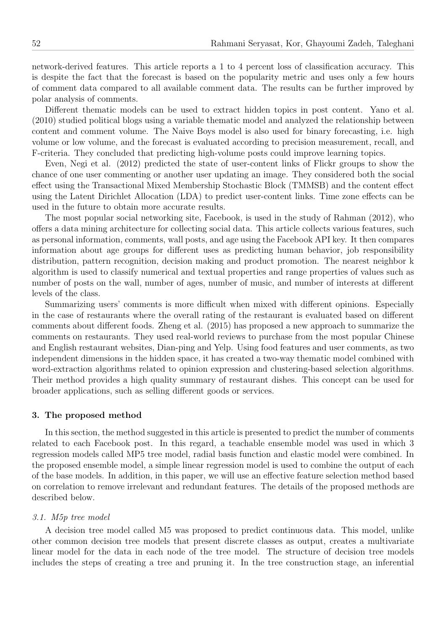network-derived features. This article reports a 1 to 4 percent loss of classification accuracy. This is despite the fact that the forecast is based on the popularity metric and uses only a few hours of comment data compared to all available comment data. The results can be further improved by polar analysis of comments.

Different thematic models can be used to extract hidden topics in post content. Yano et al. (2010) studied political blogs using a variable thematic model and analyzed the relationship between content and comment volume. The Naive Boys model is also used for binary forecasting, i.e. high volume or low volume, and the forecast is evaluated according to precision measurement, recall, and F-criteria. They concluded that predicting high-volume posts could improve learning topics.

Even, Negi et al. (2012) predicted the state of user-content links of Flickr groups to show the chance of one user commenting or another user updating an image. They considered both the social effect using the Transactional Mixed Membership Stochastic Block (TMMSB) and the content effect using the Latent Dirichlet Allocation (LDA) to predict user-content links. Time zone effects can be used in the future to obtain more accurate results.

The most popular social networking site, Facebook, is used in the study of Rahman (2012), who offers a data mining architecture for collecting social data. This article collects various features, such as personal information, comments, wall posts, and age using the Facebook API key. It then compares information about age groups for different uses as predicting human behavior, job responsibility distribution, pattern recognition, decision making and product promotion. The nearest neighbor k algorithm is used to classify numerical and textual properties and range properties of values such as number of posts on the wall, number of ages, number of music, and number of interests at different levels of the class.

Summarizing users' comments is more difficult when mixed with different opinions. Especially in the case of restaurants where the overall rating of the restaurant is evaluated based on different comments about different foods. Zheng et al. (2015) has proposed a new approach to summarize the comments on restaurants. They used real-world reviews to purchase from the most popular Chinese and English restaurant websites, Dian-ping and Yelp. Using food features and user comments, as two independent dimensions in the hidden space, it has created a two-way thematic model combined with word-extraction algorithms related to opinion expression and clustering-based selection algorithms. Their method provides a high quality summary of restaurant dishes. This concept can be used for broader applications, such as selling different goods or services.

#### 3. The proposed method

In this section, the method suggested in this article is presented to predict the number of comments related to each Facebook post. In this regard, a teachable ensemble model was used in which 3 regression models called MP5 tree model, radial basis function and elastic model were combined. In the proposed ensemble model, a simple linear regression model is used to combine the output of each of the base models. In addition, in this paper, we will use an effective feature selection method based on correlation to remove irrelevant and redundant features. The details of the proposed methods are described below.

#### 3.1. M5p tree model

A decision tree model called M5 was proposed to predict continuous data. This model, unlike other common decision tree models that present discrete classes as output, creates a multivariate linear model for the data in each node of the tree model. The structure of decision tree models includes the steps of creating a tree and pruning it. In the tree construction stage, an inferential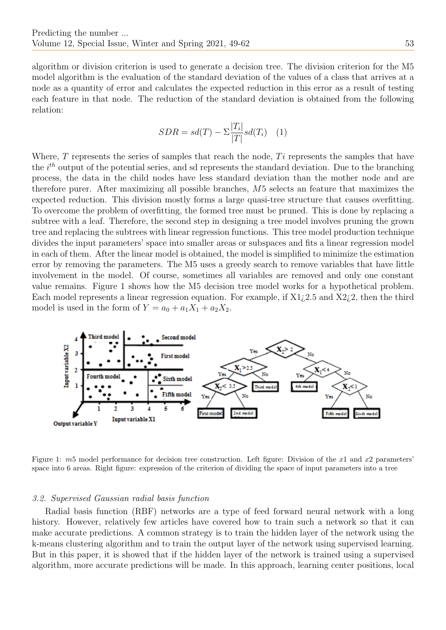algorithm or division criterion is used to generate a decision tree. The division criterion for the M5 model algorithm is the evaluation of the standard deviation of the values of a class that arrives at a node as a quantity of error and calculates the expected reduction in this error as a result of testing each feature in that node. The reduction of the standard deviation is obtained from the following relation:

$$
SDR = sd(T) - \sum \frac{|T_i|}{|T|} sd(T_i) \quad (1)
$$

Where,  $T$  represents the series of samples that reach the node,  $Ti$  represents the samples that have the  $i^{th}$  output of the potential series, and sd represents the standard deviation. Due to the branching process, the data in the child nodes have less standard deviation than the mother node and are therefore purer. After maximizing all possible branches, M5 selects an feature that maximizes the expected reduction. This division mostly forms a large quasi-tree structure that causes overfitting. To overcome the problem of overfitting, the formed tree must be pruned. This is done by replacing a subtree with a leaf. Therefore, the second step in designing a tree model involves pruning the grown tree and replacing the subtrees with linear regression functions. This tree model production technique divides the input parameters' space into smaller areas or subspaces and fits a linear regression model in each of them. After the linear model is obtained, the model is simplified to minimize the estimation error by removing the parameters. The M5 uses a greedy search to remove variables that have little involvement in the model. Of course, sometimes all variables are removed and only one constant value remains. Figure 1 shows how the M5 decision tree model works for a hypothetical problem. Each model represents a linear regression equation. For example, if  $X1/2.5$  and  $X2/2$ , then the third model is used in the form of  $Y = a_0 + a_1X_1 + a_2X_2$ .



Figure 1: m5 model performance for decision tree construction. Left figure: Division of the x1 and x2 parameters' space into 6 areas. Right figure: expression of the criterion of dividing the space of input parameters into a tree

## 3.2. Supervised Gaussian radial basis function

Radial basis function (RBF) networks are a type of feed forward neural network with a long history. However, relatively few articles have covered how to train such a network so that it can make accurate predictions. A common strategy is to train the hidden layer of the network using the k-means clustering algorithm and to train the output layer of the network using supervised learning. But in this paper, it is showed that if the hidden layer of the network is trained using a supervised algorithm, more accurate predictions will be made. In this approach, learning center positions, local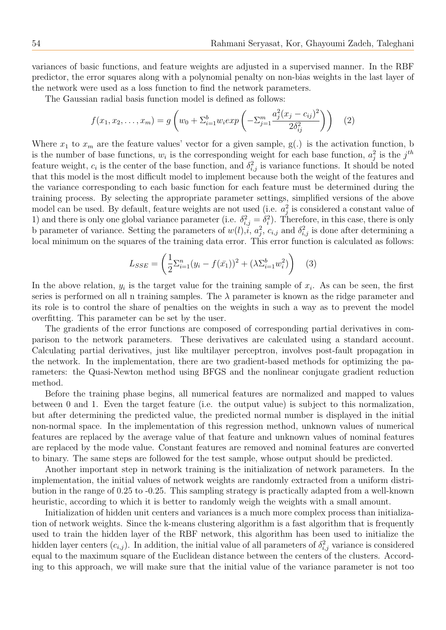variances of basic functions, and feature weights are adjusted in a supervised manner. In the RBF predictor, the error squares along with a polynomial penalty on non-bias weights in the last layer of the network were used as a loss function to find the network parameters.

The Gaussian radial basis function model is defined as follows:

$$
f(x_1, x_2, \dots, x_m) = g\left(w_0 + \sum_{i=1}^b w_i exp\left(-\sum_{j=1}^m \frac{a_j^2 (x_j - c_{ij})^2}{2\delta_{ij}^2}\right)\right)
$$
 (2)

Where  $x_1$  to  $x_m$  are the feature values' vector for a given sample,  $g(.)$  is the activation function, b is the number of base functions,  $w_i$  is the corresponding weight for each base function,  $a_j^2$  is the  $j^{th}$ feature weight,  $c_i$  is the center of the base function, and  $\delta_{i,j}^2$  is variance functions. It should be noted that this model is the most difficult model to implement because both the weight of the features and the variance corresponding to each basic function for each feature must be determined during the training process. By selecting the appropriate parameter settings, simplified versions of the above model can be used. By default, feature weights are not used (i.e.  $a_j^2$  is considered a constant value of 1) and there is only one global variance parameter (i.e.  $\delta_{i,j}^2 = \delta_i^2$ ). Therefore, in this case, there is only b parameter of variance. Setting the parameters of  $w(l), i, a_j^2, c_{i,j}$  and  $\delta_{i,j}^2$  is done after determining a local minimum on the squares of the training data error. This error function is calculated as follows:

$$
L_{SSE} = \left(\frac{1}{2}\sum_{i=1}^{n} (y_i - f(\bar{x}_1))^2 + (\lambda \sum_{i=1}^{b} w_i^2)\right) \quad (3)
$$

In the above relation,  $y_i$  is the target value for the training sample of  $x_i$ . As can be seen, the first series is performed on all n training samples. The  $\lambda$  parameter is known as the ridge parameter and its role is to control the share of penalties on the weights in such a way as to prevent the model overfitting. This parameter can be set by the user.

The gradients of the error functions are composed of corresponding partial derivatives in comparison to the network parameters. These derivatives are calculated using a standard account. Calculating partial derivatives, just like multilayer perceptron, involves post-fault propagation in the network. In the implementation, there are two gradient-based methods for optimizing the parameters: the Quasi-Newton method using BFGS and the nonlinear conjugate gradient reduction method.

Before the training phase begins, all numerical features are normalized and mapped to values between 0 and 1. Even the target feature (i.e. the output value) is subject to this normalization, but after determining the predicted value, the predicted normal number is displayed in the initial non-normal space. In the implementation of this regression method, unknown values of numerical features are replaced by the average value of that feature and unknown values of nominal features are replaced by the mode value. Constant features are removed and nominal features are converted to binary. The same steps are followed for the test sample, whose output should be predicted.

Another important step in network training is the initialization of network parameters. In the implementation, the initial values of network weights are randomly extracted from a uniform distribution in the range of 0.25 to -0.25. This sampling strategy is practically adapted from a well-known heuristic, according to which it is better to randomly weigh the weights with a small amount.

Initialization of hidden unit centers and variances is a much more complex process than initialization of network weights. Since the k-means clustering algorithm is a fast algorithm that is frequently used to train the hidden layer of the RBF network, this algorithm has been used to initialize the hidden layer centers  $(c_{i,j})$ . In addition, the initial value of all parameters of  $\delta_{i,j}^2$  variance is considered equal to the maximum square of the Euclidean distance between the centers of the clusters. According to this approach, we will make sure that the initial value of the variance parameter is not too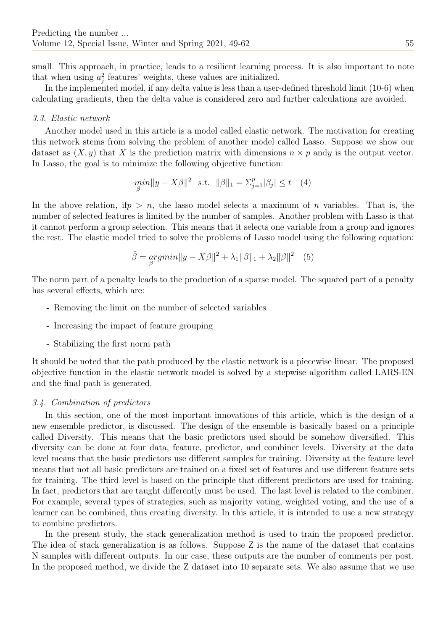small. This approach, in practice, leads to a resilient learning process. It is also important to note that when using  $a_j^2$  features' weights, these values are initialized.

In the implemented model, if any delta value is less than a user-defined threshold limit (10-6) when calculating gradients, then the delta value is considered zero and further calculations are avoided.

## 3.3. Elastic network

Another model used in this article is a model called elastic network. The motivation for creating this network stems from solving the problem of another model called Lasso. Suppose we show our dataset as  $(X, y)$  that X is the prediction matrix with dimensions  $n \times p$  andy is the output vector. In Lasso, the goal is to minimize the following objective function:

$$
\min_{\beta} \|y - X\beta\|^2 \quad s.t. \quad \|\beta\|_1 = \sum_{j=1}^p |\beta_j| \le t \quad (4)
$$

In the above relation, if  $p > n$ , the lasso model selects a maximum of n variables. That is, the number of selected features is limited by the number of samples. Another problem with Lasso is that it cannot perform a group selection. This means that it selects one variable from a group and ignores the rest. The elastic model tried to solve the problems of Lasso model using the following equation:

$$
\hat{\beta} = \underset{\beta}{\operatorname{argmin}} \|y - X\beta\|^2 + \lambda_1 \|\beta\|_1 + \lambda_2 \|\beta\|^2 \quad (5)
$$

The norm part of a penalty leads to the production of a sparse model. The squared part of a penalty has several effects, which are:

- Removing the limit on the number of selected variables
- Increasing the impact of feature grouping
- Stabilizing the first norm path

It should be noted that the path produced by the elastic network is a piecewise linear. The proposed objective function in the elastic network model is solved by a stepwise algorithm called LARS-EN and the final path is generated.

#### 3.4. Combination of predictors

In this section, one of the most important innovations of this article, which is the design of a new ensemble predictor, is discussed. The design of the ensemble is basically based on a principle called Diversity. This means that the basic predictors used should be somehow diversified. This diversity can be done at four data, feature, predictor, and combiner levels. Diversity at the data level means that the basic predictors use different samples for training. Diversity at the feature level means that not all basic predictors are trained on a fixed set of features and use different feature sets for training. The third level is based on the principle that different predictors are used for training. In fact, predictors that are taught differently must be used. The last level is related to the combiner. For example, several types of strategies, such as majority voting, weighted voting, and the use of a learner can be combined, thus creating diversity. In this article, it is intended to use a new strategy to combine predictors.

In the present study, the stack generalization method is used to train the proposed predictor. The idea of stack generalization is as follows. Suppose Z is the name of the dataset that contains N samples with different outputs. In our case, these outputs are the number of comments per post. In the proposed method, we divide the Z dataset into 10 separate sets. We also assume that we use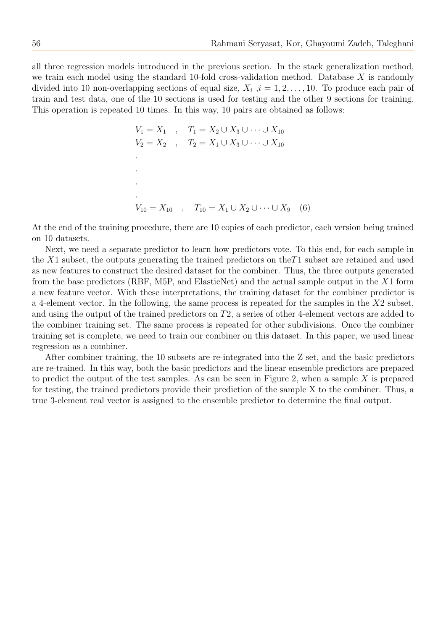all three regression models introduced in the previous section. In the stack generalization method, we train each model using the standard 10-fold cross-validation method. Database  $X$  is randomly divided into 10 non-overlapping sections of equal size,  $X_i$ ,  $i = 1, 2, \ldots, 10$ . To produce each pair of train and test data, one of the 10 sections is used for testing and the other 9 sections for training. This operation is repeated 10 times. In this way, 10 pairs are obtained as follows:

$$
V_1 = X_1 , T_1 = X_2 \cup X_3 \cup \cdots \cup X_{10}
$$
  
\n
$$
V_2 = X_2 , T_2 = X_1 \cup X_3 \cup \cdots \cup X_{10}
$$
  
\n
$$
\vdots
$$
  
\n
$$
V_{10} = X_{10} , T_{10} = X_1 \cup X_2 \cup \cdots \cup X_{9} (6)
$$

At the end of the training procedure, there are 10 copies of each predictor, each version being trained on 10 datasets.

Next, we need a separate predictor to learn how predictors vote. To this end, for each sample in the X1 subset, the outputs generating the trained predictors on the  $T1$  subset are retained and used as new features to construct the desired dataset for the combiner. Thus, the three outputs generated from the base predictors (RBF, M5P, and ElasticNet) and the actual sample output in the X1 form a new feature vector. With these interpretations, the training dataset for the combiner predictor is a 4-element vector. In the following, the same process is repeated for the samples in the  $X2$  subset, and using the output of the trained predictors on T2, a series of other 4-element vectors are added to the combiner training set. The same process is repeated for other subdivisions. Once the combiner training set is complete, we need to train our combiner on this dataset. In this paper, we used linear regression as a combiner.

After combiner training, the 10 subsets are re-integrated into the Z set, and the basic predictors are re-trained. In this way, both the basic predictors and the linear ensemble predictors are prepared to predict the output of the test samples. As can be seen in Figure 2, when a sample  $X$  is prepared for testing, the trained predictors provide their prediction of the sample X to the combiner. Thus, a true 3-element real vector is assigned to the ensemble predictor to determine the final output.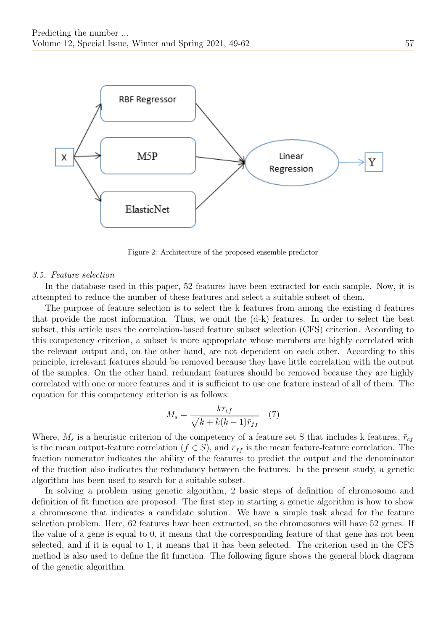

Figure 2: Architecture of the proposed ensemble predictor

#### 3.5. Feature selection

In the database used in this paper, 52 features have been extracted for each sample. Now, it is attempted to reduce the number of these features and select a suitable subset of them.

The purpose of feature selection is to select the k features from among the existing d features that provide the most information. Thus, we omit the (d-k) features. In order to select the best subset, this article uses the correlation-based feature subset selection (CFS) criterion. According to this competency criterion, a subset is more appropriate whose members are highly correlated with the relevant output and, on the other hand, are not dependent on each other. According to this principle, irrelevant features should be removed because they have little correlation with the output of the samples. On the other hand, redundant features should be removed because they are highly correlated with one or more features and it is sufficient to use one feature instead of all of them. The equation for this competency criterion is as follows:

$$
M_s = \frac{k\bar{r}_{cf}}{\sqrt{k + k(k-1)\bar{r}_{ff}}} \quad (7)
$$

Where,  $M_s$  is a heuristic criterion of the competency of a feature set S that includes k features,  $\bar{r}_{cf}$ is the mean output-feature correlation ( $f \in S$ ), and  $\bar{r}_{ff}$  is the mean feature-feature correlation. The fraction numerator indicates the ability of the features to predict the output and the denominator of the fraction also indicates the redundancy between the features. In the present study, a genetic algorithm has been used to search for a suitable subset.

In solving a problem using genetic algorithm, 2 basic steps of definition of chromosome and definition of fit function are proposed. The first step in starting a genetic algorithm is how to show a chromosome that indicates a candidate solution. We have a simple task ahead for the feature selection problem. Here, 62 features have been extracted, so the chromosomes will have 52 genes. If the value of a gene is equal to 0, it means that the corresponding feature of that gene has not been selected, and if it is equal to 1, it means that it has been selected. The criterion used in the CFS method is also used to define the fit function. The following figure shows the general block diagram of the genetic algorithm.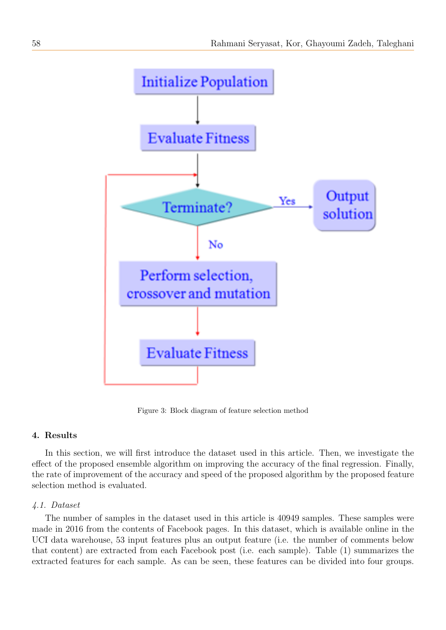

Figure 3: Block diagram of feature selection method

## 4. Results

In this section, we will first introduce the dataset used in this article. Then, we investigate the effect of the proposed ensemble algorithm on improving the accuracy of the final regression. Finally, the rate of improvement of the accuracy and speed of the proposed algorithm by the proposed feature selection method is evaluated.

#### 4.1. Dataset

The number of samples in the dataset used in this article is 40949 samples. These samples were made in 2016 from the contents of Facebook pages. In this dataset, which is available online in the UCI data warehouse, 53 input features plus an output feature (i.e. the number of comments below that content) are extracted from each Facebook post (i.e. each sample). Table (1) summarizes the extracted features for each sample. As can be seen, these features can be divided into four groups.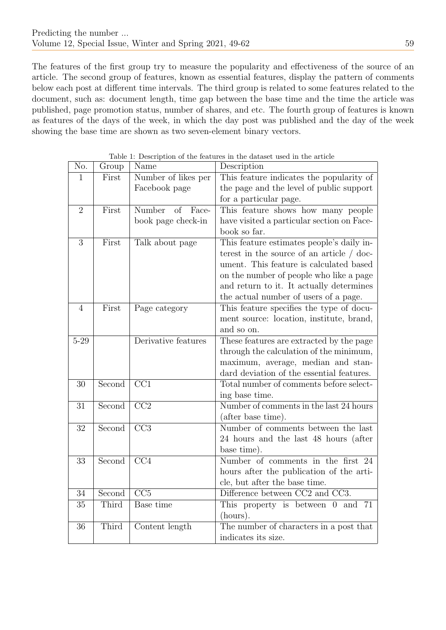The features of the first group try to measure the popularity and effectiveness of the source of an article. The second group of features, known as essential features, display the pattern of comments below each post at different time intervals. The third group is related to some features related to the document, such as: document length, time gap between the base time and the time the article was published, page promotion status, number of shares, and etc. The fourth group of features is known as features of the days of the week, in which the day post was published and the day of the week showing the base time are shown as two seven-element binary vectors.

| No.             | Group  | Name                  | Description                                |  |  |  |  |
|-----------------|--------|-----------------------|--------------------------------------------|--|--|--|--|
| $\mathbf{1}$    | First  | Number of likes per   | This feature indicates the popularity of   |  |  |  |  |
|                 |        | Facebook page         | the page and the level of public support   |  |  |  |  |
|                 |        |                       | for a particular page.                     |  |  |  |  |
| $\overline{2}$  | First  | Number<br>of<br>Face- | This feature shows how many people         |  |  |  |  |
|                 |        | book page check-in    | have visited a particular section on Face- |  |  |  |  |
|                 |        |                       | book so far.                               |  |  |  |  |
| 3               | First  | Talk about page       | This feature estimates people's daily in-  |  |  |  |  |
|                 |        |                       | terest in the source of an article / doc-  |  |  |  |  |
|                 |        |                       | ument. This feature is calculated based    |  |  |  |  |
|                 |        |                       | on the number of people who like a page    |  |  |  |  |
|                 |        |                       | and return to it. It actually determines   |  |  |  |  |
|                 |        |                       | the actual number of users of a page.      |  |  |  |  |
| $\overline{4}$  | First  | Page category         | This feature specifies the type of docu-   |  |  |  |  |
|                 |        |                       | ment source: location, institute, brand,   |  |  |  |  |
|                 |        |                       | and so on.                                 |  |  |  |  |
| $5 - 29$        |        | Derivative features   | These features are extracted by the page   |  |  |  |  |
|                 |        |                       | through the calculation of the minimum,    |  |  |  |  |
|                 |        |                       | maximum, average, median and stan-         |  |  |  |  |
|                 |        |                       | dard deviation of the essential features.  |  |  |  |  |
| $30\,$          | Second | $\overline{CC1}$      | Total number of comments before select-    |  |  |  |  |
|                 |        |                       | ing base time.                             |  |  |  |  |
| 31              | Second | $\overline{CC2}$      | Number of comments in the last 24 hours    |  |  |  |  |
|                 |        |                       | (after base time).                         |  |  |  |  |
| 32              | Second | $\overline{CC}3$      | Number of comments between the last        |  |  |  |  |
|                 |        |                       | 24 hours and the last 48 hours (after      |  |  |  |  |
|                 |        |                       | base time).                                |  |  |  |  |
| 33              | Second | $\overline{CC4}$      | Number of comments in the first 24         |  |  |  |  |
|                 |        |                       | hours after the publication of the arti-   |  |  |  |  |
|                 |        |                       | cle, but after the base time.              |  |  |  |  |
| 34              | Second | $\overline{CC5}$      | Difference between CC2 and CC3.            |  |  |  |  |
| 35              | Third  | <b>Base time</b>      | This property is between 0 and 71          |  |  |  |  |
|                 |        |                       | (hours).                                   |  |  |  |  |
| $\overline{36}$ | Third  | Content length        | The number of characters in a post that    |  |  |  |  |
|                 |        |                       | indicates its size.                        |  |  |  |  |

Table 1: Description of the features in the dataset used in the article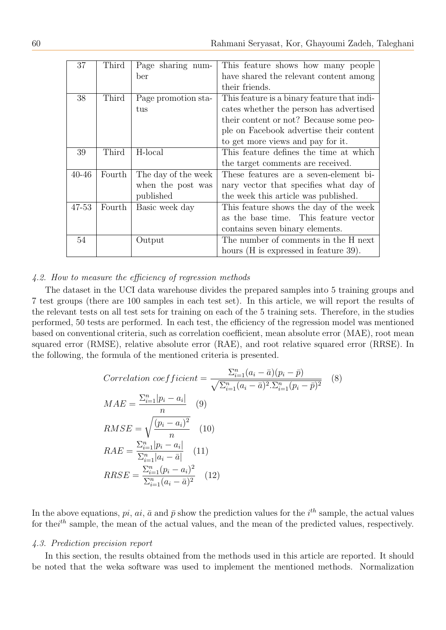| 37        | Third  | Page sharing num-   | This feature shows how many people          |  |  |  |  |
|-----------|--------|---------------------|---------------------------------------------|--|--|--|--|
|           |        | ber                 | have shared the relevant content among      |  |  |  |  |
|           |        |                     | their friends.                              |  |  |  |  |
| 38        | Third  | Page promotion sta- | This feature is a binary feature that indi- |  |  |  |  |
|           |        | tus                 | cates whether the person has advertised     |  |  |  |  |
|           |        |                     | their content or not? Because some peo-     |  |  |  |  |
|           |        |                     | ple on Facebook advertise their content     |  |  |  |  |
|           |        |                     | to get more views and pay for it.           |  |  |  |  |
| 39        | Third  | H-local             | This feature defines the time at which      |  |  |  |  |
|           |        |                     | the target comments are received.           |  |  |  |  |
| $40 - 46$ | Fourth | The day of the week | These features are a seven-element bi-      |  |  |  |  |
|           |        | when the post was   | nary vector that specifies what day of      |  |  |  |  |
|           |        | published           | the week this article was published.        |  |  |  |  |
| 47-53     | Fourth | Basic week day      | This feature shows the day of the week      |  |  |  |  |
|           |        |                     | as the base time. This feature vector       |  |  |  |  |
|           |        |                     | contains seven binary elements.             |  |  |  |  |
| 54        |        | Output              | The number of comments in the H next        |  |  |  |  |
|           |        |                     | hours (H is expressed in feature 39).       |  |  |  |  |

## 4.2. How to measure the efficiency of regression methods

The dataset in the UCI data warehouse divides the prepared samples into 5 training groups and 7 test groups (there are 100 samples in each test set). In this article, we will report the results of the relevant tests on all test sets for training on each of the 5 training sets. Therefore, in the studies performed, 50 tests are performed. In each test, the efficiency of the regression model was mentioned based on conventional criteria, such as correlation coefficient, mean absolute error (MAE), root mean squared error (RMSE), relative absolute error (RAE), and root relative squared error (RRSE). In the following, the formula of the mentioned criteria is presented.

$$
Correlation\ coefficient = \frac{\sum_{i=1}^{n} (a_i - \bar{a})(p_i - \bar{p})}{\sqrt{\sum_{i=1}^{n} (a_i - \bar{a})^2 \cdot \sum_{i=1}^{n} (p_i - \bar{p})^2}} \quad (8)
$$
\n
$$
MAE = \frac{\sum_{i=1}^{n} |p_i - a_i|}{n} \quad (9)
$$
\n
$$
RMSE = \sqrt{\frac{(p_i - a_i)^2}{n}} \quad (10)
$$
\n
$$
RAE = \frac{\sum_{i=1}^{n} |p_i - a_i|}{\sum_{i=1}^{n} |a_i - \bar{a}|} \quad (11)
$$
\n
$$
RRSE = \frac{\sum_{i=1}^{n} (p_i - a_i)^2}{\sum_{i=1}^{n} (a_i - \bar{a})^2} \quad (12)
$$

In the above equations,  $pi$ ,  $ai$ ,  $\bar{a}$  and  $\bar{p}$  show the prediction values for the  $i^{th}$  sample, the actual values for the  $i^{th}$  sample, the mean of the actual values, and the mean of the predicted values, respectively.

#### 4.3. Prediction precision report

In this section, the results obtained from the methods used in this article are reported. It should be noted that the weka software was used to implement the mentioned methods. Normalization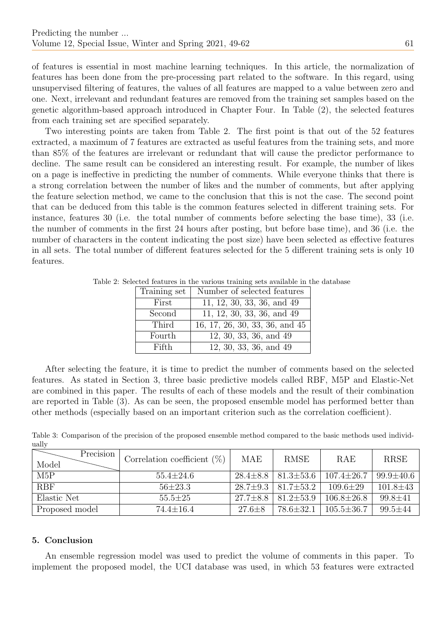of features is essential in most machine learning techniques. In this article, the normalization of features has been done from the pre-processing part related to the software. In this regard, using unsupervised filtering of features, the values of all features are mapped to a value between zero and one. Next, irrelevant and redundant features are removed from the training set samples based on the genetic algorithm-based approach introduced in Chapter Four. In Table (2), the selected features from each training set are specified separately.

Two interesting points are taken from Table 2. The first point is that out of the 52 features extracted, a maximum of 7 features are extracted as useful features from the training sets, and more than 85% of the features are irrelevant or redundant that will cause the predictor performance to decline. The same result can be considered an interesting result. For example, the number of likes on a page is ineffective in predicting the number of comments. While everyone thinks that there is a strong correlation between the number of likes and the number of comments, but after applying the feature selection method, we came to the conclusion that this is not the case. The second point that can be deduced from this table is the common features selected in different training sets. For instance, features 30 (i.e. the total number of comments before selecting the base time), 33 (i.e. the number of comments in the first 24 hours after posting, but before base time), and 36 (i.e. the number of characters in the content indicating the post size) have been selected as effective features in all sets. The total number of different features selected for the 5 different training sets is only 10 features.

| Training set | Number of selected features    |
|--------------|--------------------------------|
| First        | 11, 12, 30, 33, 36, and 49     |
| Second       | 11, 12, 30, 33, 36, and 49     |
| Third        | 16, 17, 26, 30, 33, 36, and 45 |
| Fourth       | 12, 30, 33, 36, and 49         |
| Fifth        | 12, 30, 33, 36, and 49         |

Table 2: Selected features in the various training sets available in the database

After selecting the feature, it is time to predict the number of comments based on the selected features. As stated in Section 3, three basic predictive models called RBF, M5P and Elastic-Net are combined in this paper. The results of each of these models and the result of their combination are reported in Table (3). As can be seen, the proposed ensemble model has performed better than other methods (especially based on an important criterion such as the correlation coefficient).

Table 3: Comparison of the precision of the proposed ensemble method compared to the basic methods used individually

| Precision<br>Model | Correlation coefficient $(\%)$ | <b>MAE</b>     | <b>RMSE</b>                      | RAE              | <b>RRSE</b>     |
|--------------------|--------------------------------|----------------|----------------------------------|------------------|-----------------|
| M5P                | $55.4 \pm 24.6$                | $28.4 \pm 8.8$ | $ 81.3 \pm 53.6 $                | $107.4 \pm 26.7$ | $99.9 \pm 40.6$ |
| <b>RBF</b>         | $56\pm23.3$                    |                | $28.7 \pm 9.3$   $81.7 \pm 53.2$ | $109.6 \pm 29$   | $101.8 \pm 43$  |
| Elastic Net        | $55.5 \pm 25$                  | $27.7 \pm 8.8$ | $181.2 \pm 53.9$                 | $106.8 \pm 26.8$ | $99.8 \pm 41$   |
| Proposed model     | $74.4 \pm 16.4$                | $27.6 \pm 8$   | $78.6 \pm 32.1$                  | $105.5 \pm 36.7$ | $99.5 \pm 44$   |

## 5. Conclusion

An ensemble regression model was used to predict the volume of comments in this paper. To implement the proposed model, the UCI database was used, in which 53 features were extracted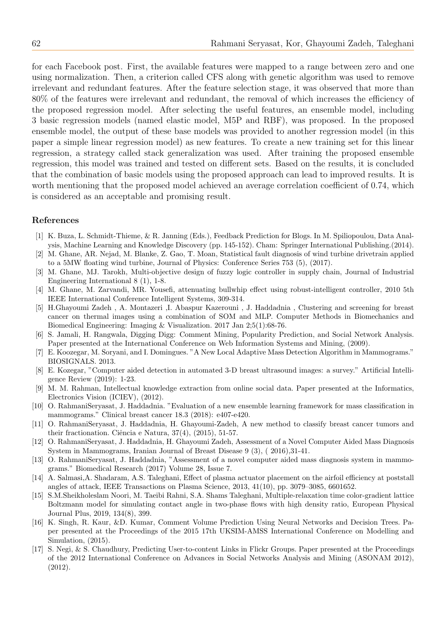for each Facebook post. First, the available features were mapped to a range between zero and one using normalization. Then, a criterion called CFS along with genetic algorithm was used to remove irrelevant and redundant features. After the feature selection stage, it was observed that more than 80% of the features were irrelevant and redundant, the removal of which increases the efficiency of the proposed regression model. After selecting the useful features, an ensemble model, including 3 basic regression models (named elastic model, M5P and RBF), was proposed. In the proposed ensemble model, the output of these base models was provided to another regression model (in this paper a simple linear regression model) as new features. To create a new training set for this linear regression, a strategy called stack generalization was used. After training the proposed ensemble regression, this model was trained and tested on different sets. Based on the results, it is concluded that the combination of basic models using the proposed approach can lead to improved results. It is worth mentioning that the proposed model achieved an average correlation coefficient of 0.74, which is considered as an acceptable and promising result.

#### References

- [1] K. Buza, L. Schmidt-Thieme, & R. Janning (Eds.), Feedback Prediction for Blogs. In M. Spiliopoulou, Data Analysis, Machine Learning and Knowledge Discovery (pp. 145-152). Cham: Springer International Publishing.(2014).
- [2] M. Ghane, AR. Nejad, M. Blanke, Z. Gao, T. Moan, Statistical fault diagnosis of wind turbine drivetrain applied to a 5MW floating wind turbine, Journal of Physics: Conference Series 753 (5), (2017).
- [3] M. Ghane, MJ. Tarokh, Multi-objective design of fuzzy logic controller in supply chain, Journal of Industrial Engineering International 8 (1), 1-8.
- [4] M. Ghane, M. Zarvandi, MR. Yousefi, attenuating bullwhip effect using robust-intelligent controller, 2010 5th IEEE International Conference Intelligent Systems, 309-314.
- [5] H.Ghayoumi Zadeh , A. Montazeri ,I. Abaspur Kazerouni , J. Haddadnia , Clustering and screening for breast cancer on thermal images using a combination of SOM and MLP. Computer Methods in Biomechanics and Biomedical Engineering: Imaging & Visualization. 2017 Jan 2;5(1):68-76.
- [6] S. Jamali, H. Rangwala, Digging Digg: Comment Mining, Popularity Prediction, and Social Network Analysis. Paper presented at the International Conference on Web Information Systems and Mining, (2009).
- [7] E. Koozegar, M. Soryani, and I. Domingues. "A New Local Adaptive Mass Detection Algorithm in Mammograms." BIOSIGNALS. 2013.
- [8] E. Kozegar, "Computer aided detection in automated 3-D breast ultrasound images: a survey." Artificial Intelligence Review (2019): 1-23.
- [9] M. M. Rahman, Intellectual knowledge extraction from online social data. Paper presented at the Informatics, Electronics Vision (ICIEV), (2012).
- [10] O. RahmaniSeryasat, J. Haddadnia. "Evaluation of a new ensemble learning framework for mass classification in mammograms." Clinical breast cancer 18.3 (2018): e407-e420.
- [11] O. RahmaniSeryasat, J. Haddadnia, H. Ghayoumi-Zadeh, A new method to classify breast cancer tumors and their fractionation. Ciência e Natura,  $37(4)$ ,  $(2015)$ ,  $51-57$ .
- [12] O. RahmaniSeryasat, J. Haddadnia, H. Ghayoumi Zadeh, Assessment of a Novel Computer Aided Mass Diagnosis System in Mammograms, Iranian Journal of Breast Disease 9 (3), ( 2016),31-41.
- [13] O. RahmaniSeryasat, J. Haddadnia, "Assessment of a novel computer aided mass diagnosis system in mammograms." Biomedical Research (2017) Volume 28, Issue 7.
- [14] A. Salmasi,A. Shadaram, A.S. Taleghani, Effect of plasma actuator placement on the airfoil efficiency at poststall angles of attack, IEEE Transactions on Plasma Science, 2013, 41(10), pp. 3079–3085, 6601652.
- [15] S.M.Sheikholeslam Noori, M. Taeibi Rahni, S.A. Shams Taleghani, Multiple-relaxation time color-gradient lattice Boltzmann model for simulating contact angle in two-phase flows with high density ratio, European Physical Journal Plus, 2019, 134(8), 399.
- [16] K. Singh, R. Kaur, &D. Kumar, Comment Volume Prediction Using Neural Networks and Decision Trees. Paper presented at the Proceedings of the 2015 17th UKSIM-AMSS International Conference on Modelling and Simulation, (2015).
- [17] S. Negi, & S. Chaudhury, Predicting User-to-content Links in Flickr Groups. Paper presented at the Proceedings of the 2012 International Conference on Advances in Social Networks Analysis and Mining (ASONAM 2012), (2012).